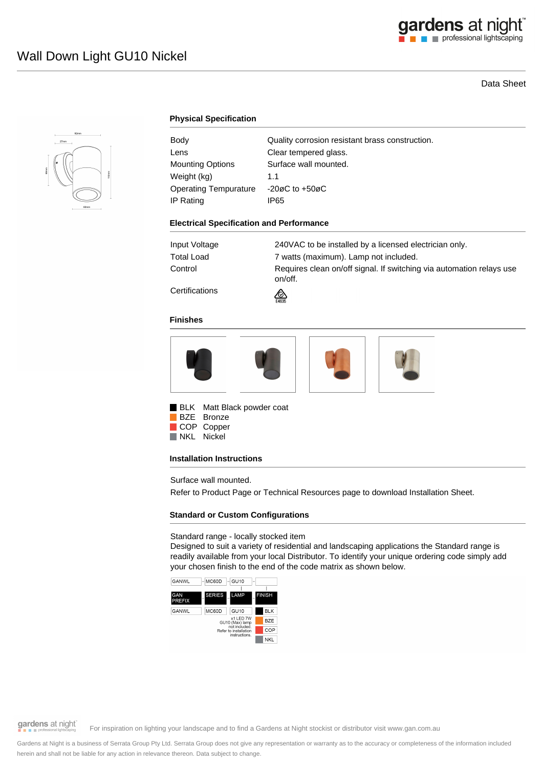# gardens at night

# Data Sheet



## **Physical Specification**

| Body                  | Quality corrosion resistant brass construction. |
|-----------------------|-------------------------------------------------|
| Lens                  | Clear tempered glass.                           |
| Mounting Options      | Surface wall mounted.                           |
| Weight (kg)           | 1.1                                             |
| Operating Tempurature | $-20\varnothing$ C to $+50\varnothing$ C        |
| IP Rating             | IP65                                            |

#### **Electrical Specification and Performance**

| Input Voltage | 240VAC to be installed by a licensed electrician only.                          |
|---------------|---------------------------------------------------------------------------------|
| Total Load    | 7 watts (maximum). Lamp not included.                                           |
| Control       | Requires clean on/off signal. If switching via automation relays use<br>on/off. |
|               |                                                                                 |

**Certifications** 

#### **Finishes**



⚠

**BLK** Matt Black powder coat BZE Bronze

COP Copper

NKL Nickel

## **Installation Instructions**

Surface wall mounted.

Refer to Product Page or Technical Resources page to download Installation Sheet.

# **Standard or Custom Configurations**

Standard range - locally stocked item

Designed to suit a variety of residential and landscaping applications the Standard range is readily available from your local Distributor. To identify your unique ordering code simply add your chosen finish to the end of the code matrix as shown below.



gardens at night

For inspiration on lighting your landscape and to find a Gardens at Night stockist or distributor visit www.gan.com.au

Gardens at Night is a business of Serrata Group Pty Ltd. Serrata Group does not give any representation or warranty as to the accuracy or completeness of the information included herein and shall not be liable for any action in relevance thereon. Data subject to change.